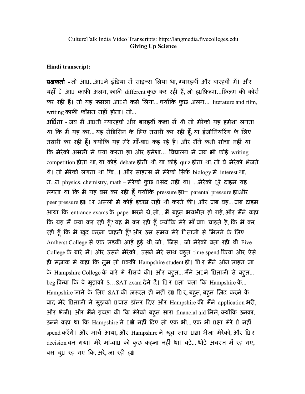## Hindi transcript:

**प्रश्नकर्ता -** तो आ□…आ□ने इंडिया मे साइन्स लिया था, ग्यारहवीं और बारहवीं मे। और यहाँ पे आप काफ़ी अलग, काफ़ी different कुछ कर रही हैं, जो ह़ाफ़िल्म...फ़िल्म की कोर्स कर रही हैं। तो यह फ़सला आपने कसे लिया... क्योंकि कुछ अलग... literature and film, writing काफ़ी कॉमन नहीं होता। तो...

अर्पिता - जब मैं अपनी ग्यारहवीं और बारहवीं कक्षा में थी तो मेरेको यह हमेशा लगता था कि मैं यह कर... यह मेडिसिन के लिए तथारी कर रही हूँ, या इंजीनियरिंग के लिए तबारी कर रही हूँ। क्योंकि यह मेरे माँ-बा $0$  कह रहे हैं। और मैंने कभी सोचा नहीं था कि मेरेको असली में क्या करना ह्या और हमेशा... विद्यालय में जब भी कोई writing competition होता था, या कोई debate होती थी, या कोई quiz होता था, तो वे मेरेको भेजते थे। तो मेरेको लगता था कि...। और साइन्स में मेरेको सिर्फ़ biology में interest था, न...न physics, chemistry, math – मेरेको कु छ पसंद नहीं था। ...मेरेको पूरे टाइम यह लगता था कि मैं यह बस कर रही हूँ क्योंकि pressure ह $D-$  parental pressure ह $D$ और peer pressure ह़ा। पर असली में कोई इच्छा नहीं थी करने की। और जब वह... जब टाइम आया कि entrance exams के paper भरने थे, तो... मैं बहूत भयभीत हो गई, और मैंने कहा कि यह मैं क्या कर रही हूँ? यह मैं कर रही हूँ क्योंकि मेरे माँ-बा¤ चाहते हैं, कि मैं कर रही हूँ कि मैं खुद करना चाहती हूँ? और उस समय मेरे 1िताजी से मिलने के लिए Amherst College से एक लड़की आई हुई थी, जो... जिस... जो मेरेको बता रही थी Five College के बारे में। और उसने मेरेको... उसने मेरे साथ बहुत time spend किया और ऐसे ही मज़ाक में कहा कि तूम तो पक्की Hampshire student हो। पि र मैंने ऑन-लाइन जा के Hampshire College के बारे में रीसर्च की। और बहुत... मैंने अपने पिताजी से बहुत... beg किया कि वे मुझको S...SAT exam देने दें। 10 र पता चला कि Hampshire के... Hampshire जाने के लिए SAT की ज़रूरत ही नहीं ह़ा। िी र, बहुत, बहुत ज़िद करने के बाद मेरे पिताजी ने मुझको पचास डॉलर दिए और Hampshire की मैंने application भरी, और भेजी। और मैंने इच्छा की कि मेरेको बहूत सारा financial aid मिले, क्योंकि उनका, उनने कहा था कि Hampshire ने पक्षे नहीं दिए तो एक भी... एक भी पक्षा मेरे पे नहीं spend करेंगे। और मार्च आया, और Hampshire ने खूब सारा पक्षा भेजा मेरेको, और Uिर decision बन गया। मेरे माँ-बा¤ को कुछ कहना नहीं था। बड़े... थोड़े अचरज में रह गए, बस चुप रह गए िक, अरे, जा रही है।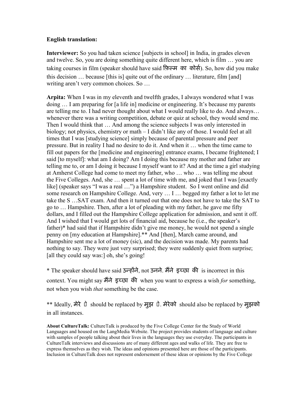## English translation:

Interviewer: So you had taken science [subjects in school] in India, in grades eleven and twelve. So, you are doing something quite different here, which is film … you are taking courses in film (speaker should have said फ़िल्म का कोर्स). So, how did you make this decision … because [this is] quite out of the ordinary … literature, film [and] writing aren't very common choices. So …

Arpita: When I was in my eleventh and twelfth grades, I always wondered what I was doing … I am preparing for [a life in] medicine or engineering. It's because my parents are telling me to. I had never thought about what I would really like to do. And always… whenever there was a writing competition, debate or quiz at school, they would send me. Then I would think that … And among the science subjects I was only interested in biology; not physics, chemistry or math – I didn't like any of those. I would feel at all times that I was [studying science] simply because of parental pressure and peer pressure. But in reality I had no desire to do it. And when it … when the time came to fill out papers for the [medicine and engineering] entrance exams, I became frightened; I said [to myself]: what am I doing? Am I doing this because my mother and father are telling me to, or am I doing it because I myself want to it? And at the time a girl studying at Amherst College had come to meet my father, who … who … was telling me about the Five Colleges. And, she … spent a lot of time with me, and joked that I was [exactly like] (speaker says "I was a real …") a Hampshire student. So I went online and did some research on Hampshire College. And, very … I … begged my father a lot to let me take the S …SAT exam. And then it turned out that one does not have to take the SAT to go to … Hampshire. Then, after a lot of pleading with my father, he gave me fifty dollars, and I filled out the Hampshire College application for admission, and sent it off. And I wished that I would get lots of financial aid, because he (i.e., the speaker's father)\* had said that if Hampshire didn't give me money, he would not spend a single penny on [my education at Hampshire].\*\* And [then], March came around, and Hampshire sent me a lot of money (sic), and the decision was made. My parents had nothing to say. They were just very surprised; they were suddenly quiet from surprise; [all they could say was:] oh, she's going!

\* The speaker should have said उन्होंने, not उनने. मैंने इच्छा की is incorrect in this context. You might say मैंने इच्छा की when you want to express a wish for something, not when you wish *that* something be the case.

 $**$  Ideally, मेरे पे should be replaced by मुझ पे. मेरेको should also be replaced by मुझको in all instances.

About CultureTalk: CultureTalk is produced by the Five College Center for the Study of World Languages and housed on the LangMedia Website. The project provides students of language and culture with samples of people talking about their lives in the languages they use everyday. The participants in CultureTalk interviews and discussions are of many different ages and walks of life. They are free to express themselves as they wish. The ideas and opinions presented here are those of the participants. Inclusion in CultureTalk does not represent endorsement of these ideas or opinions by the Five College